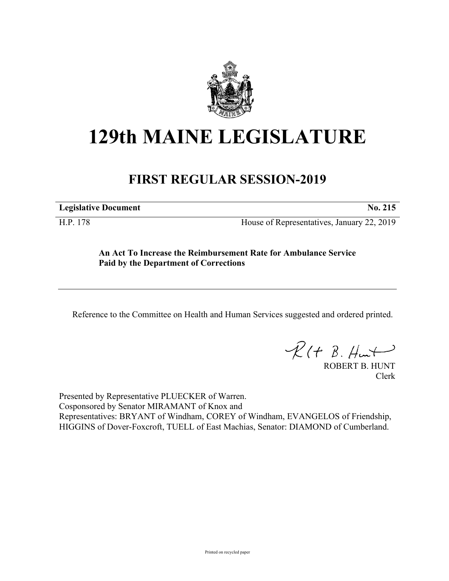

# **129th MAINE LEGISLATURE**

# **FIRST REGULAR SESSION-2019**

**Legislative Document No. 215**

H.P. 178 House of Representatives, January 22, 2019

**An Act To Increase the Reimbursement Rate for Ambulance Service Paid by the Department of Corrections**

Reference to the Committee on Health and Human Services suggested and ordered printed.

 $R(t B. Hmt)$ 

ROBERT B. HUNT Clerk

Presented by Representative PLUECKER of Warren. Cosponsored by Senator MIRAMANT of Knox and Representatives: BRYANT of Windham, COREY of Windham, EVANGELOS of Friendship, HIGGINS of Dover-Foxcroft, TUELL of East Machias, Senator: DIAMOND of Cumberland.